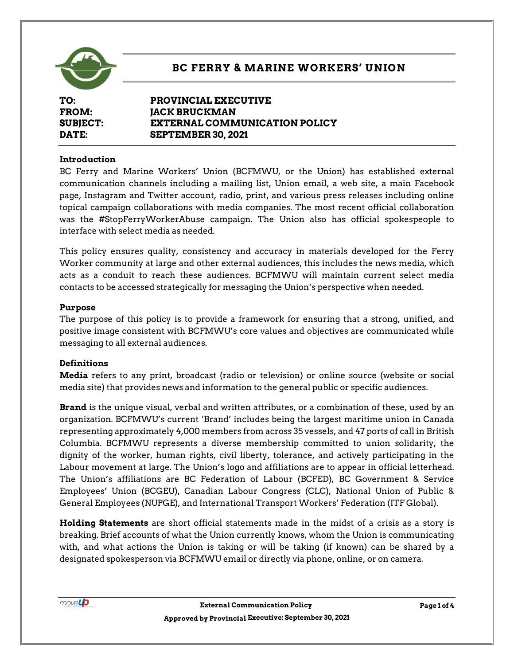

# **BC FERRY & MARINE WORKERS' UNION**

**TO: PROVINCIAL EXECUTIVE FROM: JACK BRUCKMAN SUBJECT: EXTERNAL COMMUNICATION POLICY DATE: SEPTEMBER 30, 2021**

### **Introduction**

BC Ferry and Marine Workers' Union (BCFMWU, or the Union) has established external communication channels including a mailing list, Union email, a web site, a main Facebook page, Instagram and Twitter account, radio, print, and various press releases including online topical campaign collaborations with media companies. The most recent official collaboration was the #StopFerryWorkerAbuse campaign. The Union also has official spokespeople to interface with select media as needed.

This policy ensures quality, consistency and accuracy in materials developed for the Ferry Worker community at large and other external audiences, this includes the news media, which acts as a conduit to reach these audiences. BCFMWU will maintain current select media contacts to be accessed strategically for messaging the Union's perspective when needed.

#### **Purpose**

The purpose of this policy is to provide a framework for ensuring that a strong, unified, and positive image consistent with BCFMWU's core values and objectives are communicated while messaging to all external audiences.

### **Definitions**

**Media** refers to any print, broadcast (radio or television) or online source (website or social media site) that provides news and information to the general public or specific audiences.

**Brand** is the unique visual, verbal and written attributes, or a combination of these, used by an organization. BCFMWU's current 'Brand' includes being the largest maritime union in Canada representing approximately 4,000 members from across 35 vessels, and 47 ports of call in British Columbia. BCFMWU represents a diverse membership committed to union solidarity, the dignity of the worker, human rights, civil liberty, tolerance, and actively participating in the Labour movement at large. The Union's logo and affiliations are to appear in official letterhead. The Union's affiliations are BC Federation of Labour (BCFED), BC Government & Service Employees' Union (BCGEU), Canadian Labour Congress (CLC), National Union of Public & General Employees (NUPGE), and International Transport Workers' Federation (ITF Global).

**Holding Statements** are short official statements made in the midst of a crisis as a story is breaking. Brief accounts of what the Union currently knows, whom the Union is communicating with, and what actions the Union is taking or will be taking (if known) can be shared by a designated spokesperson via BCFMWU email or directly via phone, online, or on camera.

movel**p**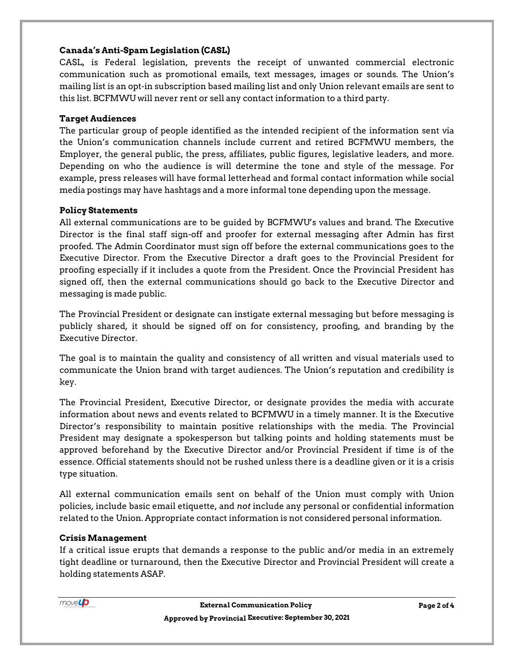## **Canada's Anti-Spam Legislation (CASL)**

CASL, is Federal legislation, prevents the receipt of unwanted commercial electronic communication such as promotional emails, text messages, images or sounds. The Union's mailing list is an opt-in subscription based mailing list and only Union relevant emails are sent to this list. BCFMWU will never rent or sell any contact information to a third party.

## **Target Audiences**

The particular group of people identified as the intended recipient of the information sent via the Union's communication channels include current and retired BCFMWU members, the Employer, the general public, the press, affiliates, public figures, legislative leaders, and more. Depending on who the audience is will determine the tone and style of the message. For example, press releases will have formal letterhead and formal contact information while social media postings may have hashtags and a more informal tone depending upon the message.

## **Policy Statements**

All external communications are to be guided by BCFMWU's values and brand. The Executive Director is the final staff sign-off and proofer for external messaging after Admin has first proofed. The Admin Coordinator must sign off before the external communications goes to the Executive Director. From the Executive Director a draft goes to the Provincial President for proofing especially if it includes a quote from the President. Once the Provincial President has signed off, then the external communications should go back to the Executive Director and messaging is made public.

The Provincial President or designate can instigate external messaging but before messaging is publicly shared, it should be signed off on for consistency, proofing, and branding by the Executive Director.

The goal is to maintain the quality and consistency of all written and visual materials used to communicate the Union brand with target audiences. The Union's reputation and credibility is key.

The Provincial President, Executive Director, or designate provides the media with accurate information about news and events related to BCFMWU in a timely manner. It is the Executive Director's responsibility to maintain positive relationships with the media. The Provincial President may designate a spokesperson but talking points and holding statements must be approved beforehand by the Executive Director and/or Provincial President if time is of the essence. Official statements should not be rushed unless there is a deadline given or it is a crisis type situation.

All external communication emails sent on behalf of the Union must comply with Union policies, include basic email etiquette, and *not* include any personal or confidential information related to the Union. Appropriate contact information is not considered personal information.

## **Crisis Management**

If a critical issue erupts that demands a response to the public and/or media in an extremely tight deadline or turnaround, then the Executive Director and Provincial President will create a holding statements ASAP.